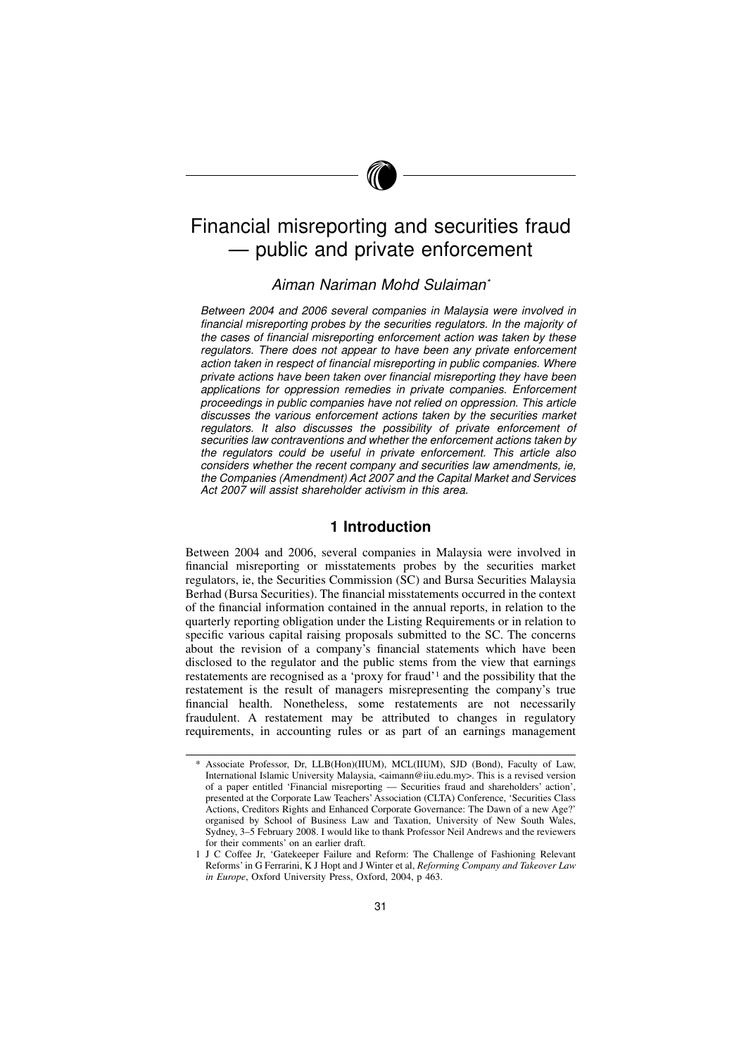# Financial misreporting and securities fraud — public and private enforcement

### Aiman Nariman Mohd Sulaiman\*

Between 2004 and 2006 several companies in Malaysia were involved in financial misreporting probes by the securities regulators. In the majority of the cases of financial misreporting enforcement action was taken by these regulators. There does not appear to have been any private enforcement action taken in respect of financial misreporting in public companies. Where private actions have been taken over financial misreporting they have been applications for oppression remedies in private companies. Enforcement proceedings in public companies have not relied on oppression. This article discusses the various enforcement actions taken by the securities market regulators. It also discusses the possibility of private enforcement of securities law contraventions and whether the enforcement actions taken by the regulators could be useful in private enforcement. This article also considers whether the recent company and securities law amendments, ie, the Companies (Amendment) Act 2007 and the Capital Market and Services Act 2007 will assist shareholder activism in this area.

### 1 Introduction

Between 2004 and 2006, several companies in Malaysia were involved in financial misreporting or misstatements probes by the securities market regulators, ie, the Securities Commission (SC) and Bursa Securities Malaysia Berhad (Bursa Securities). The financial misstatements occurred in the context of the financial information contained in the annual reports, in relation to the quarterly reporting obligation under the Listing Requirements or in relation to specific various capital raising proposals submitted to the SC. The concerns about the revision of a company's financial statements which have been disclosed to the regulator and the public stems from the view that earnings restatements are recognised as a 'proxy for fraud'<sup>1</sup> and the possibility that the restatement is the result of managers misrepresenting the company's true financial health. Nonetheless, some restatements are not necessarily fraudulent. A restatement may be attributed to changes in regulatory requirements, in accounting rules or as part of an earnings management

<sup>\*</sup> Associate Professor, Dr, LLB(Hon)(IIUM), MCL(IIUM), SJD (Bond), Faculty of Law, International Islamic University Malaysia, <aimann@iiu.edu.my>. This is a revised version of a paper entitled 'Financial misreporting — Securities fraud and shareholders' action', presented at the Corporate Law Teachers' Association (CLTA) Conference, 'Securities Class Actions, Creditors Rights and Enhanced Corporate Governance: The Dawn of a new Age?' organised by School of Business Law and Taxation, University of New South Wales, Sydney, 3–5 February 2008. I would like to thank Professor Neil Andrews and the reviewers for their comments' on an earlier draft.

<sup>1</sup> J C Coffee Jr, 'Gatekeeper Failure and Reform: The Challenge of Fashioning Relevant Reforms' in G Ferrarini, K J Hopt and J Winter et al, Reforming Company and Takeover Law in Europe, Oxford University Press, Oxford, 2004, p 463.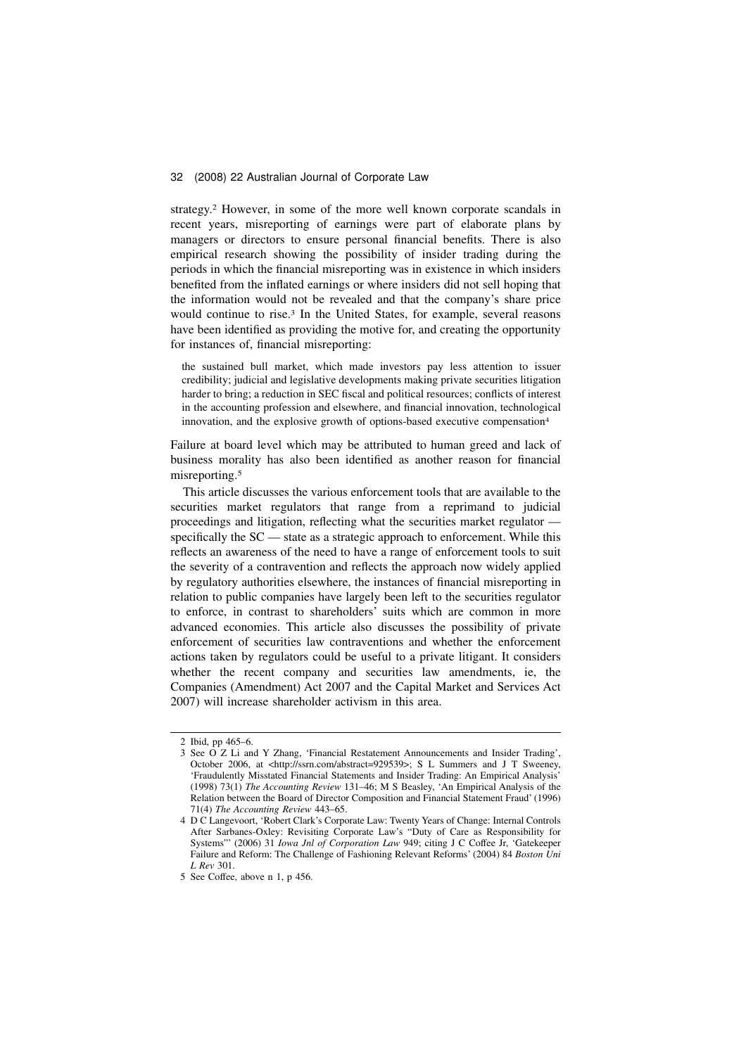strategy.<sup>2</sup> However, in some of the more well known corporate scandals in recent years, misreporting of earnings were part of elaborate plans by managers or directors to ensure personal financial benefits. There is also empirical research showing the possibility of insider trading during the periods in which the financial misreporting was in existence in which insiders benefited from the inflated earnings or where insiders did not sell hoping that the information would not be revealed and that the company's share price would continue to rise.<sup>3</sup> In the United States, for example, several reasons have been identified as providing the motive for, and creating the opportunity for instances of, financial misreporting:

the sustained bull market, which made investors pay less attention to issuer credibility; judicial and legislative developments making private securities litigation harder to bring; a reduction in SEC fiscal and political resources; conflicts of interest in the accounting profession and elsewhere, and financial innovation, technological innovation, and the explosive growth of options-based executive compensation<sup>4</sup>

Failure at board level which may be attributed to human greed and lack of business morality has also been identified as another reason for financial misreporting.<sup>5</sup>

This article discusses the various enforcement tools that are available to the securities market regulators that range from a reprimand to judicial proceedings and litigation, reflecting what the securities market regulator specifically the SC — state as a strategic approach to enforcement. While this reflects an awareness of the need to have a range of enforcement tools to suit the severity of a contravention and reflects the approach now widely applied by regulatory authorities elsewhere, the instances of financial misreporting in relation to public companies have largely been left to the securities regulator to enforce, in contrast to shareholders' suits which are common in more advanced economies. This article also discusses the possibility of private enforcement of securities law contraventions and whether the enforcement actions taken by regulators could be useful to a private litigant. It considers whether the recent company and securities law amendments, ie, the Companies (Amendment) Act 2007 and the Capital Market and Services Act 2007) will increase shareholder activism in this area.

<sup>2</sup> Ibid, pp 465–6.

<sup>3</sup> See O Z Li and Y Zhang, 'Financial Restatement Announcements and Insider Trading', October 2006, at <http://ssrn.com/abstract=929539>; S L Summers and J T Sweeney, 'Fraudulently Misstated Financial Statements and Insider Trading: An Empirical Analysis' (1998) 73(1) The Accounting Review 131–46; M S Beasley, 'An Empirical Analysis of the Relation between the Board of Director Composition and Financial Statement Fraud' (1996) 71(4) The Accounting Review 443–65.

<sup>4</sup> D C Langevoort, 'Robert Clark's Corporate Law: Twenty Years of Change: Internal Controls After Sarbanes-Oxley: Revisiting Corporate Law's "Duty of Care as Responsibility for Systems"' (2006) 31 Iowa Jnl of Corporation Law 949; citing J C Coffee Jr, 'Gatekeeper Failure and Reform: The Challenge of Fashioning Relevant Reforms' (2004) 84 Boston Uni L Rev 301.

<sup>5</sup> See Coffee, above n 1, p 456.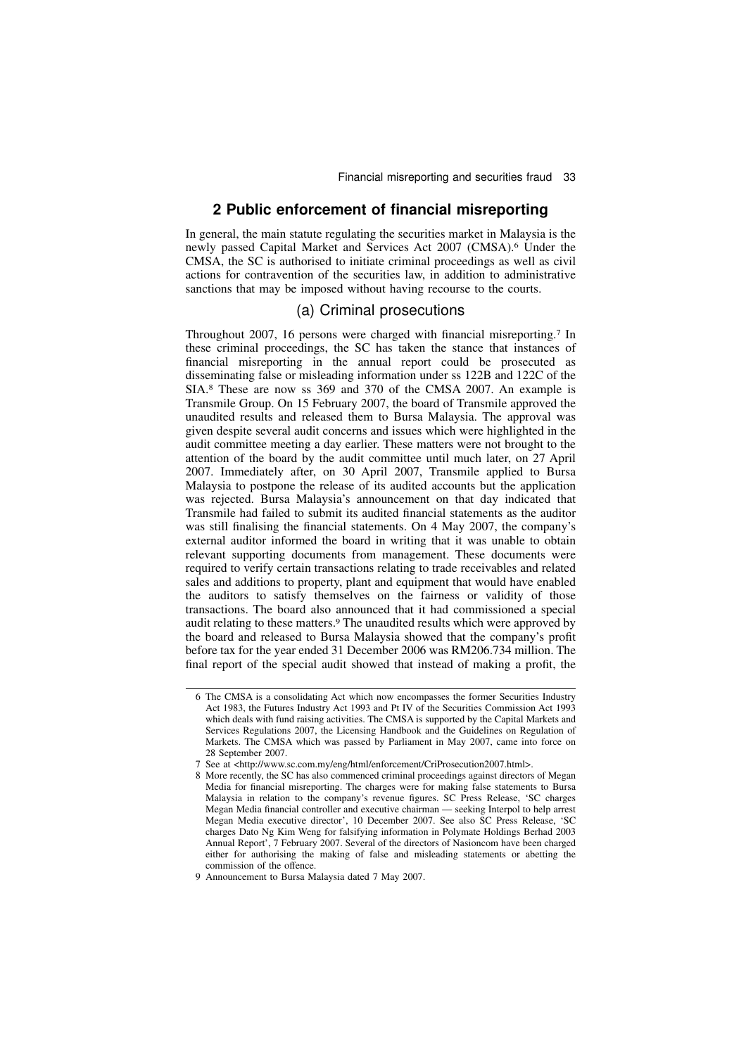### 2 Public enforcement of financial misreporting

In general, the main statute regulating the securities market in Malaysia is the newly passed Capital Market and Services Act 2007 (CMSA).<sup>6</sup> Under the CMSA, the SC is authorised to initiate criminal proceedings as well as civil actions for contravention of the securities law, in addition to administrative sanctions that may be imposed without having recourse to the courts.

### (a) Criminal prosecutions

Throughout 2007, 16 persons were charged with financial misreporting.<sup>7</sup> In these criminal proceedings, the SC has taken the stance that instances of financial misreporting in the annual report could be prosecuted as disseminating false or misleading information under ss 122B and 122C of the SIA.<sup>8</sup> These are now ss 369 and 370 of the CMSA 2007. An example is Transmile Group. On 15 February 2007, the board of Transmile approved the unaudited results and released them to Bursa Malaysia. The approval was given despite several audit concerns and issues which were highlighted in the audit committee meeting a day earlier. These matters were not brought to the attention of the board by the audit committee until much later, on 27 April 2007. Immediately after, on 30 April 2007, Transmile applied to Bursa Malaysia to postpone the release of its audited accounts but the application was rejected. Bursa Malaysia's announcement on that day indicated that Transmile had failed to submit its audited financial statements as the auditor was still finalising the financial statements. On 4 May 2007, the company's external auditor informed the board in writing that it was unable to obtain relevant supporting documents from management. These documents were required to verify certain transactions relating to trade receivables and related sales and additions to property, plant and equipment that would have enabled the auditors to satisfy themselves on the fairness or validity of those transactions. The board also announced that it had commissioned a special audit relating to these matters.<sup>9</sup> The unaudited results which were approved by the board and released to Bursa Malaysia showed that the company's profit before tax for the year ended 31 December 2006 was RM206.734 million. The final report of the special audit showed that instead of making a profit, the

<sup>6</sup> The CMSA is a consolidating Act which now encompasses the former Securities Industry Act 1983, the Futures Industry Act 1993 and Pt IV of the Securities Commission Act 1993 which deals with fund raising activities. The CMSA is supported by the Capital Markets and Services Regulations 2007, the Licensing Handbook and the Guidelines on Regulation of Markets. The CMSA which was passed by Parliament in May 2007, came into force on 28 September 2007.

<sup>7</sup> See at <http://www.sc.com.my/eng/html/enforcement/CriProsecution2007.html>.

<sup>8</sup> More recently, the SC has also commenced criminal proceedings against directors of Megan Media for financial misreporting. The charges were for making false statements to Bursa Malaysia in relation to the company's revenue figures. SC Press Release, 'SC charges Megan Media financial controller and executive chairman — seeking Interpol to help arrest Megan Media executive director', 10 December 2007. See also SC Press Release, 'SC charges Dato Ng Kim Weng for falsifying information in Polymate Holdings Berhad 2003 Annual Report', 7 February 2007. Several of the directors of Nasioncom have been charged either for authorising the making of false and misleading statements or abetting the commission of the offence.

<sup>9</sup> Announcement to Bursa Malaysia dated 7 May 2007.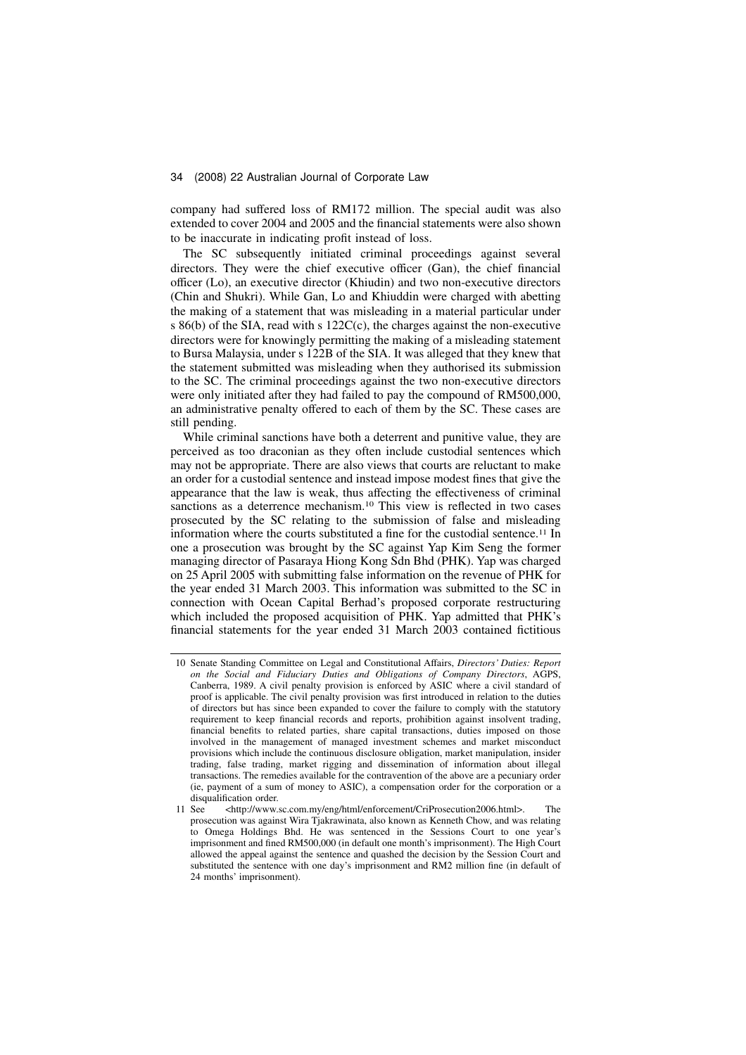company had suffered loss of RM172 million. The special audit was also extended to cover 2004 and 2005 and the financial statements were also shown to be inaccurate in indicating profit instead of loss.

The SC subsequently initiated criminal proceedings against several directors. They were the chief executive officer (Gan), the chief financial officer (Lo), an executive director (Khiudin) and two non-executive directors (Chin and Shukri). While Gan, Lo and Khiuddin were charged with abetting the making of a statement that was misleading in a material particular under s 86(b) of the SIA, read with s 122C(c), the charges against the non-executive directors were for knowingly permitting the making of a misleading statement to Bursa Malaysia, under s 122B of the SIA. It was alleged that they knew that the statement submitted was misleading when they authorised its submission to the SC. The criminal proceedings against the two non-executive directors were only initiated after they had failed to pay the compound of RM500,000, an administrative penalty offered to each of them by the SC. These cases are still pending.

While criminal sanctions have both a deterrent and punitive value, they are perceived as too draconian as they often include custodial sentences which may not be appropriate. There are also views that courts are reluctant to make an order for a custodial sentence and instead impose modest fines that give the appearance that the law is weak, thus affecting the effectiveness of criminal sanctions as a deterrence mechanism.<sup>10</sup> This view is reflected in two cases prosecuted by the SC relating to the submission of false and misleading information where the courts substituted a fine for the custodial sentence.<sup>11</sup> In one a prosecution was brought by the SC against Yap Kim Seng the former managing director of Pasaraya Hiong Kong Sdn Bhd (PHK). Yap was charged on 25 April 2005 with submitting false information on the revenue of PHK for the year ended 31 March 2003. This information was submitted to the SC in connection with Ocean Capital Berhad's proposed corporate restructuring which included the proposed acquisition of PHK. Yap admitted that PHK's financial statements for the year ended 31 March 2003 contained fictitious

<sup>10</sup> Senate Standing Committee on Legal and Constitutional Affairs, Directors' Duties: Report on the Social and Fiduciary Duties and Obligations of Company Directors, AGPS, Canberra, 1989. A civil penalty provision is enforced by ASIC where a civil standard of proof is applicable. The civil penalty provision was first introduced in relation to the duties of directors but has since been expanded to cover the failure to comply with the statutory requirement to keep financial records and reports, prohibition against insolvent trading, financial benefits to related parties, share capital transactions, duties imposed on those involved in the management of managed investment schemes and market misconduct provisions which include the continuous disclosure obligation, market manipulation, insider trading, false trading, market rigging and dissemination of information about illegal transactions. The remedies available for the contravention of the above are a pecuniary order (ie, payment of a sum of money to ASIC), a compensation order for the corporation or a disqualification order.<br>11 See <http://www.s

<sup>11</sup> See <http://www.sc.com.my/eng/html/enforcement/CriProsecution2006.html>. The prosecution was against Wira Tjakrawinata, also known as Kenneth Chow, and was relating to Omega Holdings Bhd. He was sentenced in the Sessions Court to one year's imprisonment and fined RM500,000 (in default one month's imprisonment). The High Court allowed the appeal against the sentence and quashed the decision by the Session Court and substituted the sentence with one day's imprisonment and RM2 million fine (in default of 24 months' imprisonment).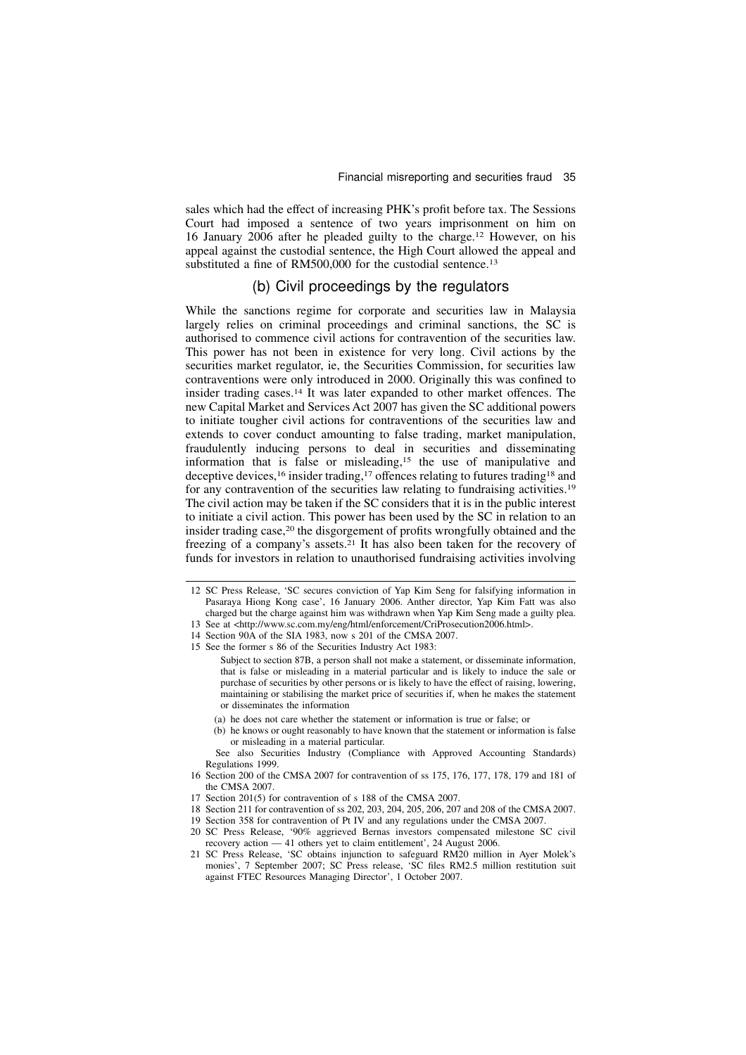sales which had the effect of increasing PHK's profit before tax. The Sessions Court had imposed a sentence of two years imprisonment on him on 16 January 2006 after he pleaded guilty to the charge.<sup>12</sup> However, on his appeal against the custodial sentence, the High Court allowed the appeal and substituted a fine of RM500,000 for the custodial sentence.<sup>13</sup>

# (b) Civil proceedings by the regulators

While the sanctions regime for corporate and securities law in Malaysia largely relies on criminal proceedings and criminal sanctions, the SC is authorised to commence civil actions for contravention of the securities law. This power has not been in existence for very long. Civil actions by the securities market regulator, ie, the Securities Commission, for securities law contraventions were only introduced in 2000. Originally this was confined to insider trading cases.<sup>14</sup> It was later expanded to other market offences. The new Capital Market and Services Act 2007 has given the SC additional powers to initiate tougher civil actions for contraventions of the securities law and extends to cover conduct amounting to false trading, market manipulation, fraudulently inducing persons to deal in securities and disseminating information that is false or misleading,<sup>15</sup> the use of manipulative and deceptive devices,<sup>16</sup> insider trading,<sup>17</sup> offences relating to futures trading<sup>18</sup> and for any contravention of the securities law relating to fundraising activities.<sup>19</sup> The civil action may be taken if the SC considers that it is in the public interest to initiate a civil action. This power has been used by the SC in relation to an insider trading case,<sup>20</sup> the disgorgement of profits wrongfully obtained and the freezing of a company's assets.<sup>21</sup> It has also been taken for the recovery of funds for investors in relation to unauthorised fundraising activities involving

- (a) he does not care whether the statement or information is true or false; or
- (b) he knows or ought reasonably to have known that the statement or information is false or misleading in a material particular.

See also Securities Industry (Compliance with Approved Accounting Standards) Regulations 1999.

- 16 Section 200 of the CMSA 2007 for contravention of ss 175, 176, 177, 178, 179 and 181 of the CMSA 2007.
- 17 Section 201(5) for contravention of s 188 of the CMSA 2007.
- 18 Section 211 for contravention of ss 202, 203, 204, 205, 206, 207 and 208 of the CMSA 2007.
- 19 Section 358 for contravention of Pt IV and any regulations under the CMSA 2007.
- 20 SC Press Release, '90% aggrieved Bernas investors compensated milestone SC civil recovery action — 41 others yet to claim entitlement', 24 August 2006.
- 21 SC Press Release, 'SC obtains injunction to safeguard RM20 million in Ayer Molek's monies', 7 September 2007; SC Press release, 'SC files RM2.5 million restitution suit against FTEC Resources Managing Director', 1 October 2007.

<sup>12</sup> SC Press Release, 'SC secures conviction of Yap Kim Seng for falsifying information in Pasaraya Hiong Kong case', 16 January 2006. Anther director, Yap Kim Fatt was also charged but the charge against him was withdrawn when Yap Kim Seng made a guilty plea.

<sup>13</sup> See at <http://www.sc.com.my/eng/html/enforcement/CriProsecution2006.html>.

<sup>14</sup> Section 90A of the SIA 1983, now s 201 of the CMSA 2007. 15 See the former s 86 of the Securities Industry Act 1983:

Subject to section 87B, a person shall not make a statement, or disseminate information, that is false or misleading in a material particular and is likely to induce the sale or purchase of securities by other persons or is likely to have the effect of raising, lowering, maintaining or stabilising the market price of securities if, when he makes the statement or disseminates the information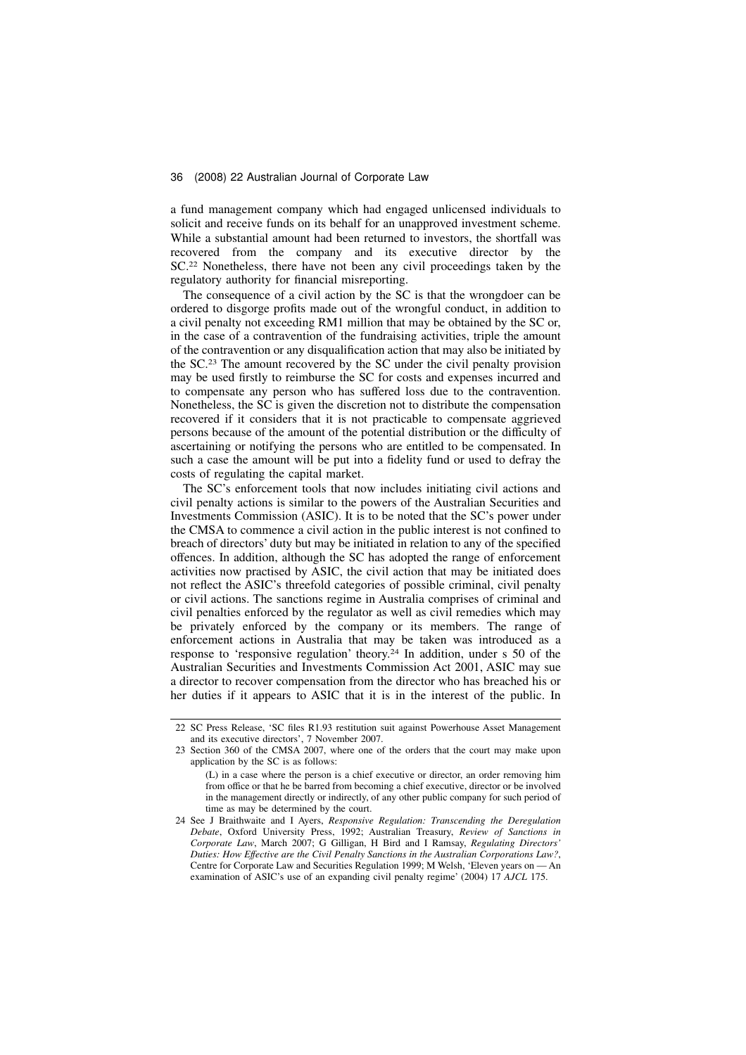a fund management company which had engaged unlicensed individuals to solicit and receive funds on its behalf for an unapproved investment scheme. While a substantial amount had been returned to investors, the shortfall was recovered from the company and its executive director by the SC.<sup>22</sup> Nonetheless, there have not been any civil proceedings taken by the regulatory authority for financial misreporting.

The consequence of a civil action by the SC is that the wrongdoer can be ordered to disgorge profits made out of the wrongful conduct, in addition to a civil penalty not exceeding RM1 million that may be obtained by the SC or, in the case of a contravention of the fundraising activities, triple the amount of the contravention or any disqualification action that may also be initiated by the SC.<sup>23</sup> The amount recovered by the SC under the civil penalty provision may be used firstly to reimburse the SC for costs and expenses incurred and to compensate any person who has suffered loss due to the contravention. Nonetheless, the SC is given the discretion not to distribute the compensation recovered if it considers that it is not practicable to compensate aggrieved persons because of the amount of the potential distribution or the difficulty of ascertaining or notifying the persons who are entitled to be compensated. In such a case the amount will be put into a fidelity fund or used to defray the costs of regulating the capital market.

The SC's enforcement tools that now includes initiating civil actions and civil penalty actions is similar to the powers of the Australian Securities and Investments Commission (ASIC). It is to be noted that the SC's power under the CMSA to commence a civil action in the public interest is not confined to breach of directors' duty but may be initiated in relation to any of the specified offences. In addition, although the SC has adopted the range of enforcement activities now practised by ASIC, the civil action that may be initiated does not reflect the ASIC's threefold categories of possible criminal, civil penalty or civil actions. The sanctions regime in Australia comprises of criminal and civil penalties enforced by the regulator as well as civil remedies which may be privately enforced by the company or its members. The range of enforcement actions in Australia that may be taken was introduced as a response to 'responsive regulation' theory.<sup>24</sup> In addition, under s 50 of the Australian Securities and Investments Commission Act 2001, ASIC may sue a director to recover compensation from the director who has breached his or her duties if it appears to ASIC that it is in the interest of the public. In

<sup>22</sup> SC Press Release, 'SC files R1.93 restitution suit against Powerhouse Asset Management and its executive directors', 7 November 2007.

<sup>23</sup> Section 360 of the CMSA 2007, where one of the orders that the court may make upon application by the SC is as follows:

<sup>(</sup>L) in a case where the person is a chief executive or director, an order removing him from office or that he be barred from becoming a chief executive, director or be involved in the management directly or indirectly, of any other public company for such period of time as may be determined by the court.

<sup>24</sup> See J Braithwaite and I Ayers, Responsive Regulation: Transcending the Deregulation Debate, Oxford University Press, 1992; Australian Treasury, Review of Sanctions in Corporate Law, March 2007; G Gilligan, H Bird and I Ramsay, Regulating Directors' Duties: How Effective are the Civil Penalty Sanctions in the Australian Corporations Law?, Centre for Corporate Law and Securities Regulation 1999; M Welsh, 'Eleven years on — An examination of ASIC's use of an expanding civil penalty regime' (2004) 17 AJCL 175.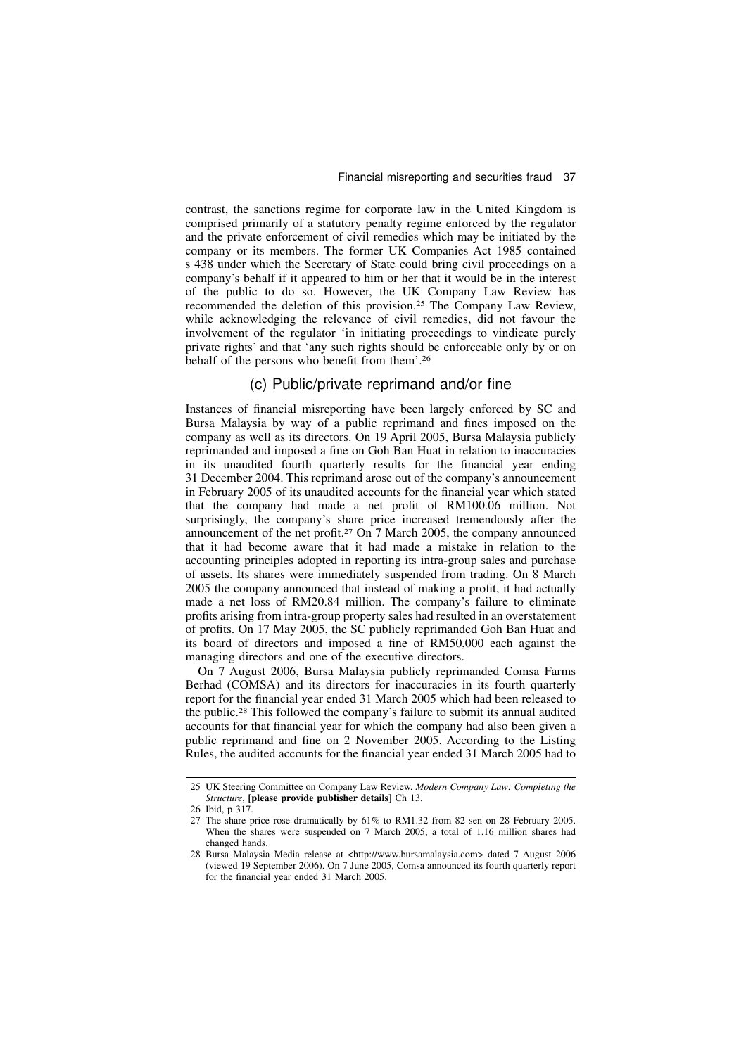contrast, the sanctions regime for corporate law in the United Kingdom is comprised primarily of a statutory penalty regime enforced by the regulator and the private enforcement of civil remedies which may be initiated by the company or its members. The former UK Companies Act 1985 contained s 438 under which the Secretary of State could bring civil proceedings on a company's behalf if it appeared to him or her that it would be in the interest of the public to do so. However, the UK Company Law Review has recommended the deletion of this provision.<sup>25</sup> The Company Law Review, while acknowledging the relevance of civil remedies, did not favour the involvement of the regulator 'in initiating proceedings to vindicate purely private rights' and that 'any such rights should be enforceable only by or on behalf of the persons who benefit from them'.<sup>26</sup>

### (c) Public/private reprimand and/or fine

Instances of financial misreporting have been largely enforced by SC and Bursa Malaysia by way of a public reprimand and fines imposed on the company as well as its directors. On 19 April 2005, Bursa Malaysia publicly reprimanded and imposed a fine on Goh Ban Huat in relation to inaccuracies in its unaudited fourth quarterly results for the financial year ending 31 December 2004. This reprimand arose out of the company's announcement in February 2005 of its unaudited accounts for the financial year which stated that the company had made a net profit of RM100.06 million. Not surprisingly, the company's share price increased tremendously after the announcement of the net profit.<sup>27</sup> On 7 March 2005, the company announced that it had become aware that it had made a mistake in relation to the accounting principles adopted in reporting its intra-group sales and purchase of assets. Its shares were immediately suspended from trading. On 8 March 2005 the company announced that instead of making a profit, it had actually made a net loss of RM20.84 million. The company's failure to eliminate profits arising from intra-group property sales had resulted in an overstatement of profits. On 17 May 2005, the SC publicly reprimanded Goh Ban Huat and its board of directors and imposed a fine of RM50,000 each against the managing directors and one of the executive directors.

On 7 August 2006, Bursa Malaysia publicly reprimanded Comsa Farms Berhad (COMSA) and its directors for inaccuracies in its fourth quarterly report for the financial year ended 31 March 2005 which had been released to the public.<sup>28</sup> This followed the company's failure to submit its annual audited accounts for that financial year for which the company had also been given a public reprimand and fine on 2 November 2005. According to the Listing Rules, the audited accounts for the financial year ended 31 March 2005 had to

<sup>25</sup> UK Steering Committee on Company Law Review, Modern Company Law: Completing the Structure, [please provide publisher details] Ch 13.

<sup>26</sup> Ibid, p 317.

<sup>27</sup> The share price rose dramatically by 61% to RM1.32 from 82 sen on 28 February 2005. When the shares were suspended on 7 March 2005, a total of 1.16 million shares had changed hands.

<sup>28</sup> Bursa Malaysia Media release at <http://www.bursamalaysia.com> dated 7 August 2006 (viewed 19 September 2006). On 7 June 2005, Comsa announced its fourth quarterly report for the financial year ended 31 March 2005.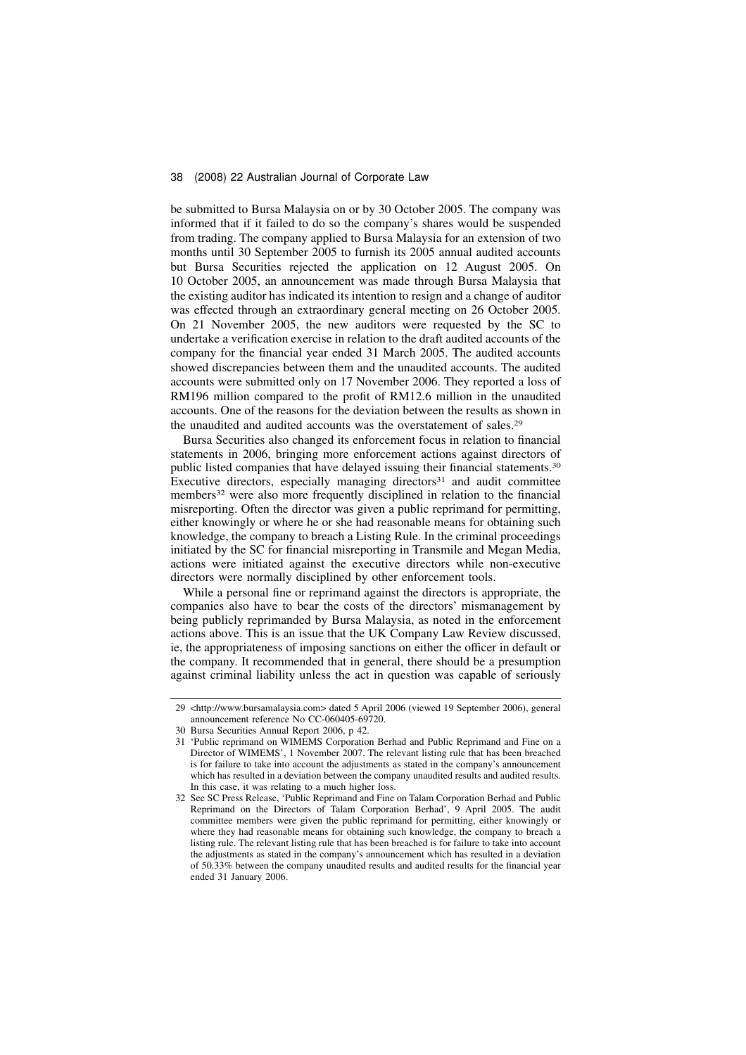be submitted to Bursa Malaysia on or by 30 October 2005. The company was informed that if it failed to do so the company's shares would be suspended from trading. The company applied to Bursa Malaysia for an extension of two months until 30 September 2005 to furnish its 2005 annual audited accounts but Bursa Securities rejected the application on 12 August 2005. On 10 October 2005, an announcement was made through Bursa Malaysia that the existing auditor has indicated its intention to resign and a change of auditor was effected through an extraordinary general meeting on 26 October 2005. On 21 November 2005, the new auditors were requested by the SC to undertake a verification exercise in relation to the draft audited accounts of the company for the financial year ended 31 March 2005. The audited accounts showed discrepancies between them and the unaudited accounts. The audited accounts were submitted only on 17 November 2006. They reported a loss of RM196 million compared to the profit of RM12.6 million in the unaudited accounts. One of the reasons for the deviation between the results as shown in the unaudited and audited accounts was the overstatement of sales.<sup>29</sup>

Bursa Securities also changed its enforcement focus in relation to financial statements in 2006, bringing more enforcement actions against directors of public listed companies that have delayed issuing their financial statements.<sup>30</sup> Executive directors, especially managing directors<sup>31</sup> and audit committee members<sup>32</sup> were also more frequently disciplined in relation to the financial misreporting. Often the director was given a public reprimand for permitting, either knowingly or where he or she had reasonable means for obtaining such knowledge, the company to breach a Listing Rule. In the criminal proceedings initiated by the SC for financial misreporting in Transmile and Megan Media, actions were initiated against the executive directors while non-executive directors were normally disciplined by other enforcement tools.

While a personal fine or reprimand against the directors is appropriate, the companies also have to bear the costs of the directors' mismanagement by being publicly reprimanded by Bursa Malaysia, as noted in the enforcement actions above. This is an issue that the UK Company Law Review discussed, ie, the appropriateness of imposing sanctions on either the officer in default or the company. It recommended that in general, there should be a presumption against criminal liability unless the act in question was capable of seriously

<sup>29 &</sup>lt;http://www.bursamalaysia.com> dated 5 April 2006 (viewed 19 September 2006), general announcement reference No CC-060405-69720.

<sup>30</sup> Bursa Securities Annual Report 2006, p 42.

<sup>31 &#</sup>x27;Public reprimand on WIMEMS Corporation Berhad and Public Reprimand and Fine on a Director of WIMEMS', 1 November 2007. The relevant listing rule that has been breached is for failure to take into account the adjustments as stated in the company's announcement which has resulted in a deviation between the company unaudited results and audited results. In this case, it was relating to a much higher loss.

<sup>32</sup> See SC Press Release, 'Public Reprimand and Fine on Talam Corporation Berhad and Public Reprimand on the Directors of Talam Corporation Berhad', 9 April 2005. The audit committee members were given the public reprimand for permitting, either knowingly or where they had reasonable means for obtaining such knowledge, the company to breach a listing rule. The relevant listing rule that has been breached is for failure to take into account the adjustments as stated in the company's announcement which has resulted in a deviation of 50.33% between the company unaudited results and audited results for the financial year ended 31 January 2006.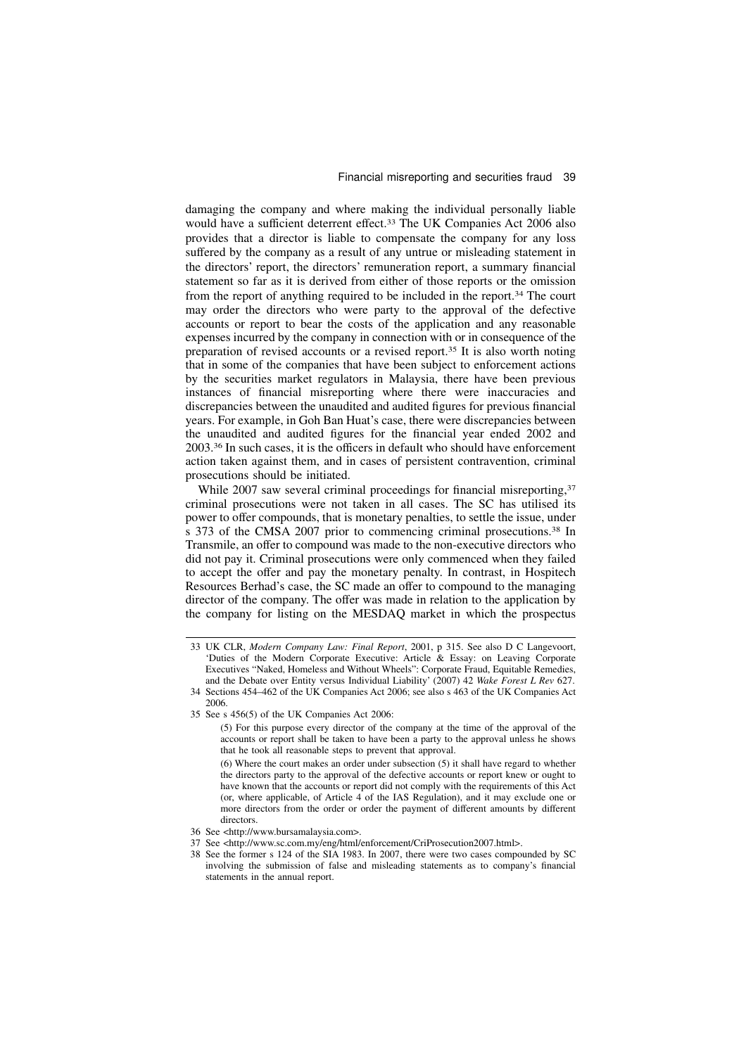damaging the company and where making the individual personally liable would have a sufficient deterrent effect.<sup>33</sup> The UK Companies Act 2006 also provides that a director is liable to compensate the company for any loss suffered by the company as a result of any untrue or misleading statement in the directors' report, the directors' remuneration report, a summary financial statement so far as it is derived from either of those reports or the omission from the report of anything required to be included in the report.<sup>34</sup> The court may order the directors who were party to the approval of the defective accounts or report to bear the costs of the application and any reasonable expenses incurred by the company in connection with or in consequence of the preparation of revised accounts or a revised report.<sup>35</sup> It is also worth noting that in some of the companies that have been subject to enforcement actions by the securities market regulators in Malaysia, there have been previous instances of financial misreporting where there were inaccuracies and discrepancies between the unaudited and audited figures for previous financial years. For example, in Goh Ban Huat's case, there were discrepancies between the unaudited and audited figures for the financial year ended 2002 and 2003.<sup>36</sup> In such cases, it is the officers in default who should have enforcement action taken against them, and in cases of persistent contravention, criminal prosecutions should be initiated.

While 2007 saw several criminal proceedings for financial misreporting,<sup>37</sup> criminal prosecutions were not taken in all cases. The SC has utilised its power to offer compounds, that is monetary penalties, to settle the issue, under s 373 of the CMSA 2007 prior to commencing criminal prosecutions.<sup>38</sup> In Transmile, an offer to compound was made to the non-executive directors who did not pay it. Criminal prosecutions were only commenced when they failed to accept the offer and pay the monetary penalty. In contrast, in Hospitech Resources Berhad's case, the SC made an offer to compound to the managing director of the company. The offer was made in relation to the application by the company for listing on the MESDAQ market in which the prospectus

<sup>33</sup> UK CLR, Modern Company Law: Final Report, 2001, p 315. See also D C Langevoort, 'Duties of the Modern Corporate Executive: Article & Essay: on Leaving Corporate Executives "Naked, Homeless and Without Wheels": Corporate Fraud, Equitable Remedies, and the Debate over Entity versus Individual Liability' (2007) 42 Wake Forest L Rev 627.

<sup>34</sup> Sections 454–462 of the UK Companies Act 2006; see also s 463 of the UK Companies Act 2006.

<sup>35</sup> See s 456(5) of the UK Companies Act 2006:

<sup>(5)</sup> For this purpose every director of the company at the time of the approval of the accounts or report shall be taken to have been a party to the approval unless he shows that he took all reasonable steps to prevent that approval.

<sup>(6)</sup> Where the court makes an order under subsection (5) it shall have regard to whether the directors party to the approval of the defective accounts or report knew or ought to have known that the accounts or report did not comply with the requirements of this Act (or, where applicable, of Article 4 of the IAS Regulation), and it may exclude one or more directors from the order or order the payment of different amounts by different directors.

<sup>36</sup> See <http://www.bursamalaysia.com>.

<sup>37</sup> See <http://www.sc.com.my/eng/html/enforcement/CriProsecution2007.html>.

<sup>38</sup> See the former s 124 of the SIA 1983. In 2007, there were two cases compounded by SC involving the submission of false and misleading statements as to company's financial statements in the annual report.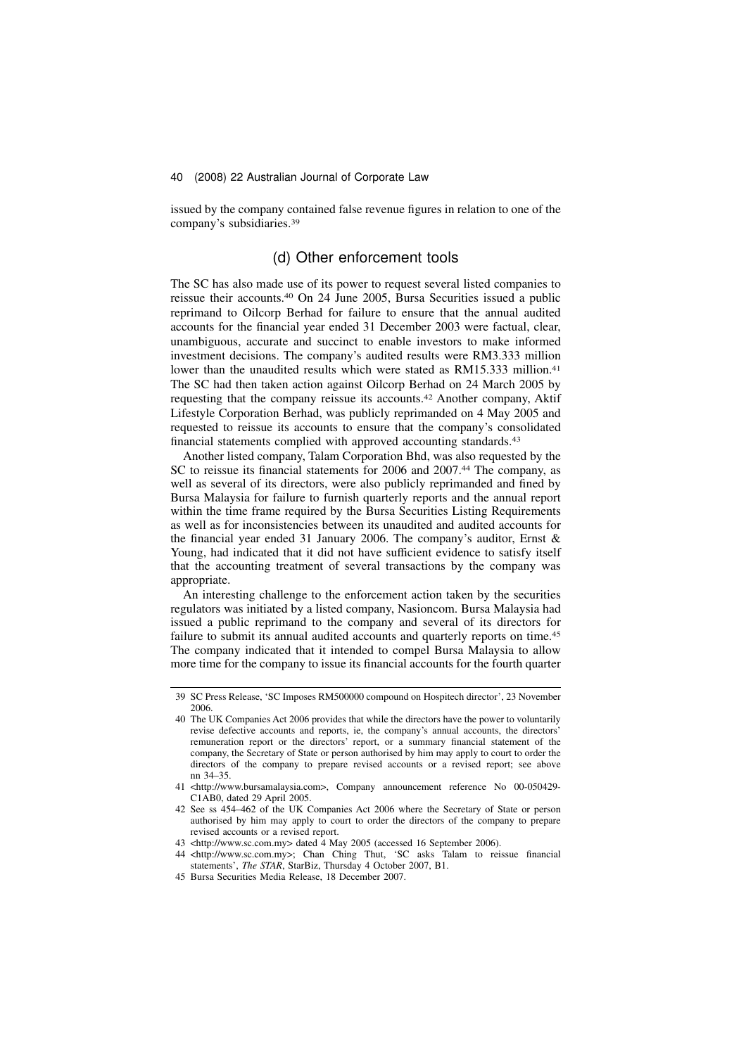issued by the company contained false revenue figures in relation to one of the company's subsidiaries.<sup>39</sup>

# (d) Other enforcement tools

The SC has also made use of its power to request several listed companies to reissue their accounts.<sup>40</sup> On 24 June 2005, Bursa Securities issued a public reprimand to Oilcorp Berhad for failure to ensure that the annual audited accounts for the financial year ended 31 December 2003 were factual, clear, unambiguous, accurate and succinct to enable investors to make informed investment decisions. The company's audited results were RM3.333 million lower than the unaudited results which were stated as RM15.333 million.<sup>41</sup> The SC had then taken action against Oilcorp Berhad on 24 March 2005 by requesting that the company reissue its accounts.<sup>42</sup> Another company, Aktif Lifestyle Corporation Berhad, was publicly reprimanded on 4 May 2005 and requested to reissue its accounts to ensure that the company's consolidated financial statements complied with approved accounting standards.<sup>43</sup>

Another listed company, Talam Corporation Bhd, was also requested by the SC to reissue its financial statements for 2006 and 2007.<sup>44</sup> The company, as well as several of its directors, were also publicly reprimanded and fined by Bursa Malaysia for failure to furnish quarterly reports and the annual report within the time frame required by the Bursa Securities Listing Requirements as well as for inconsistencies between its unaudited and audited accounts for the financial year ended 31 January 2006. The company's auditor, Ernst & Young, had indicated that it did not have sufficient evidence to satisfy itself that the accounting treatment of several transactions by the company was appropriate.

An interesting challenge to the enforcement action taken by the securities regulators was initiated by a listed company, Nasioncom. Bursa Malaysia had issued a public reprimand to the company and several of its directors for failure to submit its annual audited accounts and quarterly reports on time.<sup>45</sup> The company indicated that it intended to compel Bursa Malaysia to allow more time for the company to issue its financial accounts for the fourth quarter

<sup>39</sup> SC Press Release, 'SC Imposes RM500000 compound on Hospitech director', 23 November 2006.

<sup>40</sup> The UK Companies Act 2006 provides that while the directors have the power to voluntarily revise defective accounts and reports, ie, the company's annual accounts, the directors' remuneration report or the directors' report, or a summary financial statement of the company, the Secretary of State or person authorised by him may apply to court to order the directors of the company to prepare revised accounts or a revised report; see above nn 34–35.

<sup>41 &</sup>lt;http://www.bursamalaysia.com>, Company announcement reference No 00-050429- C1AB0, dated 29 April 2005.

<sup>42</sup> See ss 454–462 of the UK Companies Act 2006 where the Secretary of State or person authorised by him may apply to court to order the directors of the company to prepare revised accounts or a revised report.

<sup>43 &</sup>lt;http://www.sc.com.my> dated 4 May 2005 (accessed 16 September 2006).

<sup>44 &</sup>lt;http://www.sc.com.my>; Chan Ching Thut, 'SC asks Talam to reissue financial statements', The STAR, StarBiz, Thursday 4 October 2007, B1.

<sup>45</sup> Bursa Securities Media Release, 18 December 2007.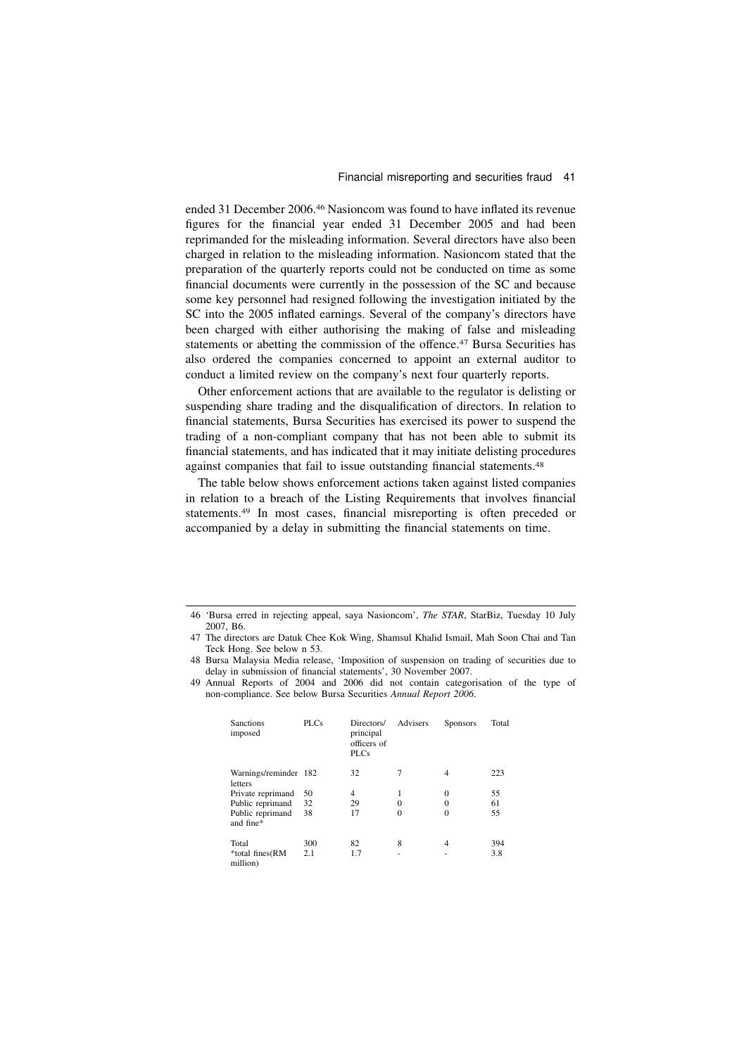ended 31 December 2006.<sup>46</sup> Nasioncom was found to have inflated its revenue figures for the financial year ended 31 December 2005 and had been reprimanded for the misleading information. Several directors have also been charged in relation to the misleading information. Nasioncom stated that the preparation of the quarterly reports could not be conducted on time as some financial documents were currently in the possession of the SC and because some key personnel had resigned following the investigation initiated by the SC into the 2005 inflated earnings. Several of the company's directors have been charged with either authorising the making of false and misleading statements or abetting the commission of the offence.<sup>47</sup> Bursa Securities has also ordered the companies concerned to appoint an external auditor to conduct a limited review on the company's next four quarterly reports.

Other enforcement actions that are available to the regulator is delisting or suspending share trading and the disqualification of directors. In relation to financial statements, Bursa Securities has exercised its power to suspend the trading of a non-compliant company that has not been able to submit its financial statements, and has indicated that it may initiate delisting procedures against companies that fail to issue outstanding financial statements.<sup>48</sup>

The table below shows enforcement actions taken against listed companies in relation to a breach of the Listing Requirements that involves financial statements.<sup>49</sup> In most cases, financial misreporting is often preceded or accompanied by a delay in submitting the financial statements on time.

<sup>49</sup> Annual Reports of 2004 and 2006 did not contain categorisation of the type of non-compliance. See below Bursa Securities Annual Report 2006.

| <b>Sanctions</b><br>imposed      | PLCs | Directors/<br>principal<br>officers of<br><b>PLCs</b> | Advisers | <b>Sponsors</b> | Total |
|----------------------------------|------|-------------------------------------------------------|----------|-----------------|-------|
| Warnings/reminder 182<br>letters |      | 32                                                    | 7        | 4               | 223   |
| Private reprimand                | 50   | 4                                                     | 1        | $\Omega$        | 55    |
| Public reprimand                 | 32   | 29                                                    | 0        | 0               | 61    |
| Public reprimand<br>and fine*    | 38   | 17                                                    | 0        | $\theta$        | 55    |
| Total                            | 300  | 82                                                    | 8        | 4               | 394   |
| *total fines(RM<br>million)      | 2.1  | 1.7                                                   |          |                 | 3.8   |

<sup>46 &#</sup>x27;Bursa erred in rejecting appeal, saya Nasioncom', The STAR, StarBiz, Tuesday 10 July 2007, B6.

<sup>47</sup> The directors are Datuk Chee Kok Wing, Shamsul Khalid Ismail, Mah Soon Chai and Tan Teck Hong. See below n 53.

<sup>48</sup> Bursa Malaysia Media release, 'Imposition of suspension on trading of securities due to delay in submission of financial statements', 30 November 2007.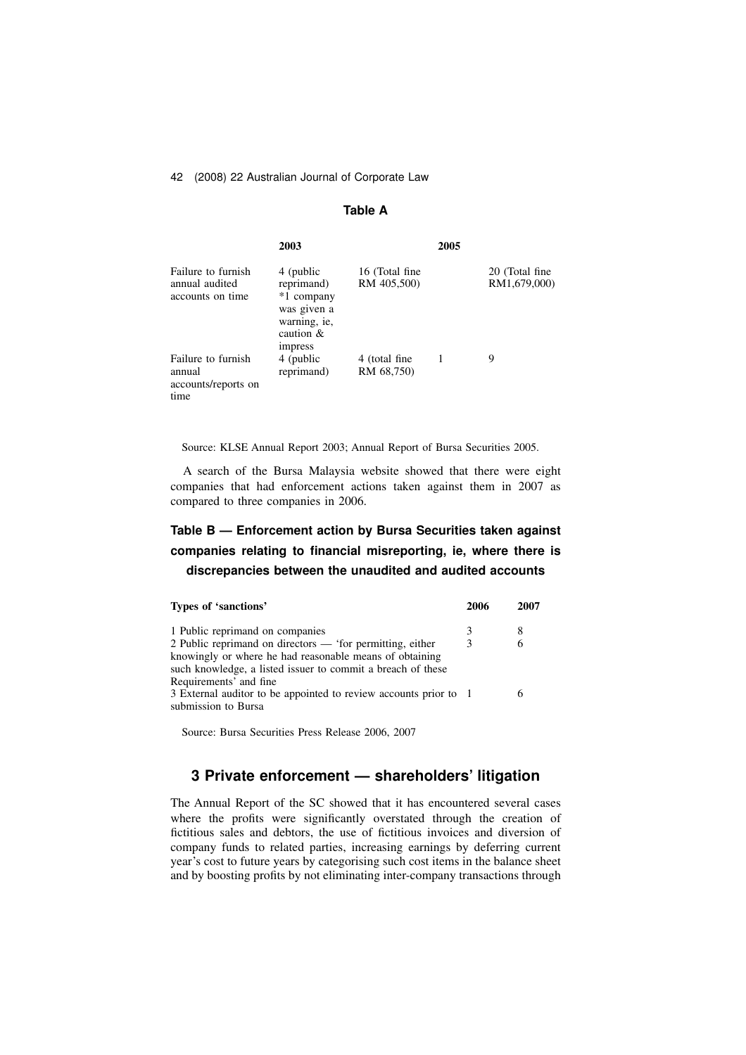### Table A

|                                                             | 2003                                                                                                   |                               | 2005 |                                |
|-------------------------------------------------------------|--------------------------------------------------------------------------------------------------------|-------------------------------|------|--------------------------------|
| Failure to furnish<br>annual audited<br>accounts on time    | 4 (public<br>reprimand)<br>*1 company<br>was given a<br>warning, ie,<br>caution $\&$<br><i>impress</i> | 16 (Total fine<br>RM 405,500) |      | 20 (Total fine<br>RM1,679,000) |
| Failure to furnish<br>annual<br>accounts/reports on<br>time | 4 (public<br>reprimand)                                                                                | 4 (total fine)<br>RM 68,750)  |      | 9                              |

Source: KLSE Annual Report 2003; Annual Report of Bursa Securities 2005.

A search of the Bursa Malaysia website showed that there were eight companies that had enforcement actions taken against them in 2007 as compared to three companies in 2006.

# Table B — Enforcement action by Bursa Securities taken against companies relating to financial misreporting, ie, where there is discrepancies between the unaudited and audited accounts

| Types of 'sanctions'                                                                                                                                                                | 2006 | 2007 |
|-------------------------------------------------------------------------------------------------------------------------------------------------------------------------------------|------|------|
| 1 Public reprimand on companies                                                                                                                                                     |      | 8    |
| 2 Public reprimand on directors — 'for permitting, either<br>knowingly or where he had reasonable means of obtaining<br>such knowledge, a listed issuer to commit a breach of these | 3    | 6    |
| Requirements' and fine<br>3 External auditor to be appointed to review accounts prior to 1<br>submission to Bursa                                                                   |      |      |

Source: Bursa Securities Press Release 2006, 2007

# 3 Private enforcement — shareholders' litigation

The Annual Report of the SC showed that it has encountered several cases where the profits were significantly overstated through the creation of fictitious sales and debtors, the use of fictitious invoices and diversion of company funds to related parties, increasing earnings by deferring current year's cost to future years by categorising such cost items in the balance sheet and by boosting profits by not eliminating inter-company transactions through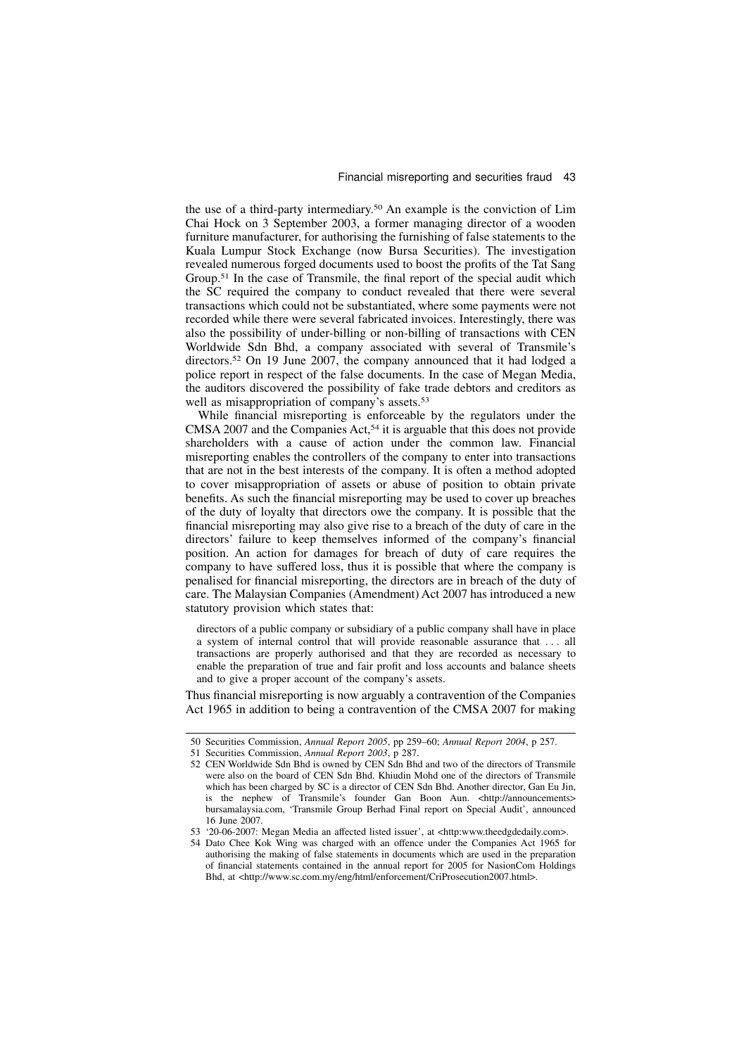the use of a third-party intermediary.<sup>50</sup> An example is the conviction of Lim Chai Hock on 3 September 2003, a former managing director of a wooden furniture manufacturer, for authorising the furnishing of false statements to the Kuala Lumpur Stock Exchange (now Bursa Securities). The investigation revealed numerous forged documents used to boost the profits of the Tat Sang Group.<sup>51</sup> In the case of Transmile, the final report of the special audit which the SC required the company to conduct revealed that there were several transactions which could not be substantiated, where some payments were not recorded while there were several fabricated invoices. Interestingly, there was also the possibility of under-billing or non-billing of transactions with CEN Worldwide Sdn Bhd, a company associated with several of Transmile's directors.<sup>52</sup> On 19 June 2007, the company announced that it had lodged a police report in respect of the false documents. In the case of Megan Media, the auditors discovered the possibility of fake trade debtors and creditors as well as misappropriation of company's assets.<sup>53</sup>

While financial misreporting is enforceable by the regulators under the CMSA 2007 and the Companies Act,<sup>54</sup> it is arguable that this does not provide shareholders with a cause of action under the common law. Financial misreporting enables the controllers of the company to enter into transactions that are not in the best interests of the company. It is often a method adopted to cover misappropriation of assets or abuse of position to obtain private benefits. As such the financial misreporting may be used to cover up breaches of the duty of loyalty that directors owe the company. It is possible that the financial misreporting may also give rise to a breach of the duty of care in the directors' failure to keep themselves informed of the company's financial position. An action for damages for breach of duty of care requires the company to have suffered loss, thus it is possible that where the company is penalised for financial misreporting, the directors are in breach of the duty of care. The Malaysian Companies (Amendment) Act 2007 has introduced a new statutory provision which states that:

directors of a public company or subsidiary of a public company shall have in place a system of internal control that will provide reasonable assurance that . . . all transactions are properly authorised and that they are recorded as necessary to enable the preparation of true and fair profit and loss accounts and balance sheets and to give a proper account of the company's assets.

Thus financial misreporting is now arguably a contravention of the Companies Act 1965 in addition to being a contravention of the CMSA 2007 for making

<sup>50</sup> Securities Commission, Annual Report 2005, pp 259–60; Annual Report 2004, p 257.

<sup>51</sup> Securities Commission, Annual Report 2003, p 287.

<sup>52</sup> CEN Worldwide Sdn Bhd is owned by CEN Sdn Bhd and two of the directors of Transmile were also on the board of CEN Sdn Bhd. Khiudin Mohd one of the directors of Transmile which has been charged by SC is a director of CEN Sdn Bhd. Another director, Gan Eu Jin, is the nephew of Transmile's founder Gan Boon Aun. <http://announcements> bursamalaysia.com, 'Transmile Group Berhad Final report on Special Audit', announced 16 June 2007.

<sup>53 &#</sup>x27;20-06-2007: Megan Media an affected listed issuer', at <http:www.theedgdedaily.com>.

<sup>54</sup> Dato Chee Kok Wing was charged with an offence under the Companies Act 1965 for authorising the making of false statements in documents which are used in the preparation of financial statements contained in the annual report for 2005 for NasionCom Holdings Bhd, at <http://www.sc.com.my/eng/html/enforcement/CriProsecution2007.html>.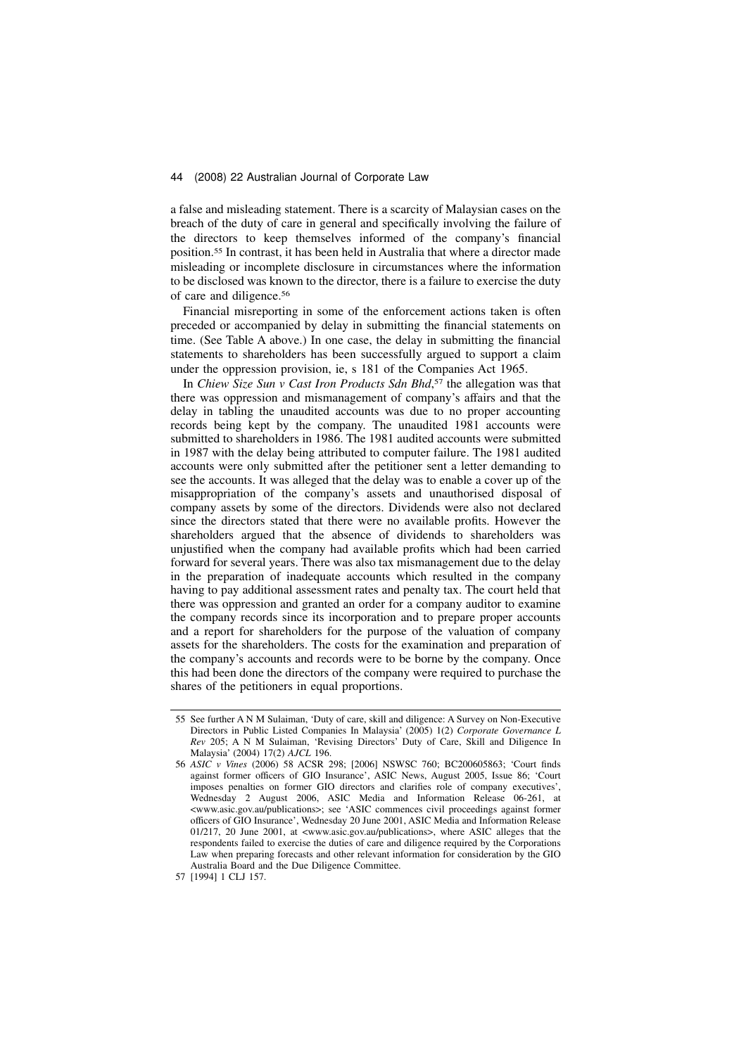a false and misleading statement. There is a scarcity of Malaysian cases on the breach of the duty of care in general and specifically involving the failure of the directors to keep themselves informed of the company's financial position.<sup>55</sup> In contrast, it has been held in Australia that where a director made misleading or incomplete disclosure in circumstances where the information to be disclosed was known to the director, there is a failure to exercise the duty of care and diligence.<sup>56</sup>

Financial misreporting in some of the enforcement actions taken is often preceded or accompanied by delay in submitting the financial statements on time. (See Table A above.) In one case, the delay in submitting the financial statements to shareholders has been successfully argued to support a claim under the oppression provision, ie, s 181 of the Companies Act 1965.

In Chiew Size Sun v Cast Iron Products Sdn Bhd,<sup>57</sup> the allegation was that there was oppression and mismanagement of company's affairs and that the delay in tabling the unaudited accounts was due to no proper accounting records being kept by the company. The unaudited 1981 accounts were submitted to shareholders in 1986. The 1981 audited accounts were submitted in 1987 with the delay being attributed to computer failure. The 1981 audited accounts were only submitted after the petitioner sent a letter demanding to see the accounts. It was alleged that the delay was to enable a cover up of the misappropriation of the company's assets and unauthorised disposal of company assets by some of the directors. Dividends were also not declared since the directors stated that there were no available profits. However the shareholders argued that the absence of dividends to shareholders was unjustified when the company had available profits which had been carried forward for several years. There was also tax mismanagement due to the delay in the preparation of inadequate accounts which resulted in the company having to pay additional assessment rates and penalty tax. The court held that there was oppression and granted an order for a company auditor to examine the company records since its incorporation and to prepare proper accounts and a report for shareholders for the purpose of the valuation of company assets for the shareholders. The costs for the examination and preparation of the company's accounts and records were to be borne by the company. Once this had been done the directors of the company were required to purchase the shares of the petitioners in equal proportions.

<sup>55</sup> See further A N M Sulaiman, 'Duty of care, skill and diligence: A Survey on Non-Executive Directors in Public Listed Companies In Malaysia' (2005) 1(2) Corporate Governance L Rev 205; A N M Sulaiman, 'Revising Directors' Duty of Care, Skill and Diligence In Malaysia' (2004) 17(2) AJCL 196.

<sup>56</sup> ASIC v Vines (2006) 58 ACSR 298; [2006] NSWSC 760; BC200605863; 'Court finds against former officers of GIO Insurance', ASIC News, August 2005, Issue 86; 'Court imposes penalties on former GIO directors and clarifies role of company executives', Wednesday 2 August 2006, ASIC Media and Information Release 06-261, at <www.asic.gov.au/publications>; see 'ASIC commences civil proceedings against former officers of GIO Insurance', Wednesday 20 June 2001, ASIC Media and Information Release 01/217, 20 June 2001, at <www.asic.gov.au/publications>, where ASIC alleges that the respondents failed to exercise the duties of care and diligence required by the Corporations Law when preparing forecasts and other relevant information for consideration by the GIO Australia Board and the Due Diligence Committee.

<sup>57 [1994] 1</sup> CLJ 157.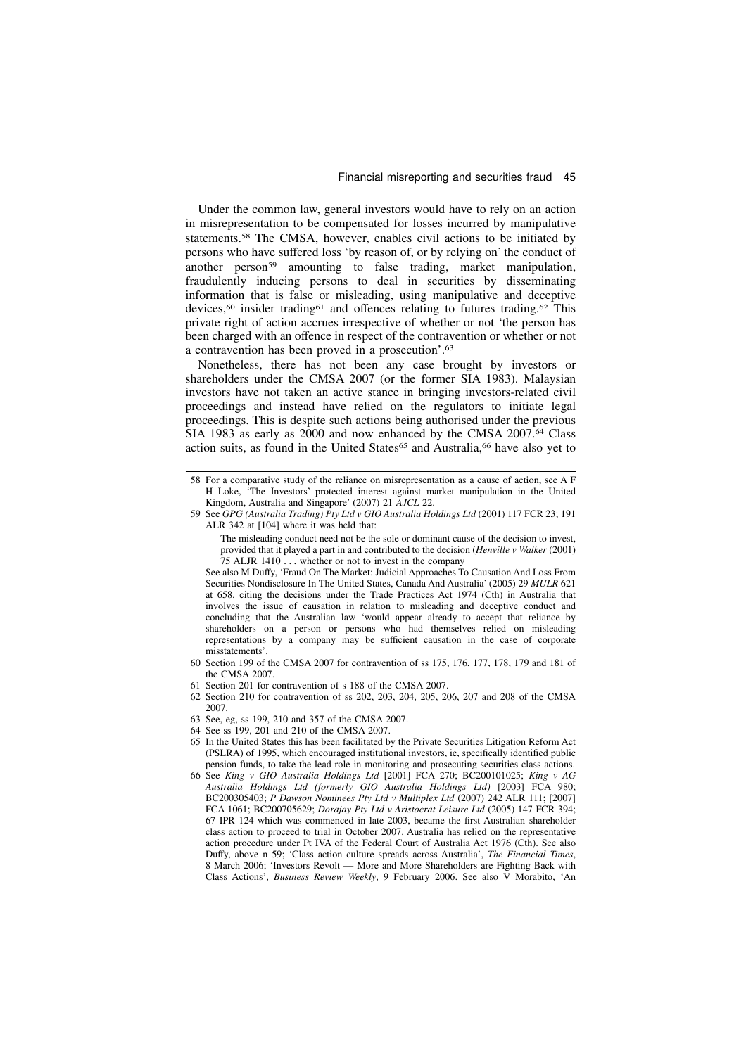#### Financial misreporting and securities fraud 45

Under the common law, general investors would have to rely on an action in misrepresentation to be compensated for losses incurred by manipulative statements.<sup>58</sup> The CMSA, however, enables civil actions to be initiated by persons who have suffered loss 'by reason of, or by relying on' the conduct of another person<sup>59</sup> amounting to false trading, market manipulation, fraudulently inducing persons to deal in securities by disseminating information that is false or misleading, using manipulative and deceptive devices,<sup>60</sup> insider trading<sup>61</sup> and offences relating to futures trading.<sup>62</sup> This private right of action accrues irrespective of whether or not 'the person has been charged with an offence in respect of the contravention or whether or not a contravention has been proved in a prosecution'.<sup>63</sup>

Nonetheless, there has not been any case brought by investors or shareholders under the CMSA 2007 (or the former SIA 1983). Malaysian investors have not taken an active stance in bringing investors-related civil proceedings and instead have relied on the regulators to initiate legal proceedings. This is despite such actions being authorised under the previous SIA 1983 as early as 2000 and now enhanced by the CMSA 2007.<sup>64</sup> Class action suits, as found in the United States<sup>65</sup> and Australia,<sup>66</sup> have also vet to

- 62 Section 210 for contravention of ss 202, 203, 204, 205, 206, 207 and 208 of the CMSA 2007.
- 63 See, eg, ss 199, 210 and 357 of the CMSA 2007.
- 64 See ss 199, 201 and 210 of the CMSA 2007.
- 65 In the United States this has been facilitated by the Private Securities Litigation Reform Act (PSLRA) of 1995, which encouraged institutional investors, ie, specifically identified public pension funds, to take the lead role in monitoring and prosecuting securities class actions.
- 66 See King v GIO Australia Holdings Ltd [2001] FCA 270; BC200101025; King v AG Australia Holdings Ltd (formerly GIO Australia Holdings Ltd) [2003] FCA 980; BC200305403; P Dawson Nominees Pty Ltd v Multiplex Ltd (2007) 242 ALR 111; [2007] FCA 1061; BC200705629; Dorajay Pty Ltd v Aristocrat Leisure Ltd (2005) 147 FCR 394; 67 IPR 124 which was commenced in late 2003, became the first Australian shareholder class action to proceed to trial in October 2007. Australia has relied on the representative action procedure under Pt IVA of the Federal Court of Australia Act 1976 (Cth). See also Duffy, above n 59; 'Class action culture spreads across Australia', The Financial Times, 8 March 2006; 'Investors Revolt — More and More Shareholders are Fighting Back with Class Actions', Business Review Weekly, 9 February 2006. See also V Morabito, 'An

<sup>58</sup> For a comparative study of the reliance on misrepresentation as a cause of action, see A F H Loke, 'The Investors' protected interest against market manipulation in the United Kingdom, Australia and Singapore' (2007) 21 AJCL 22.

<sup>59</sup> See GPG (Australia Trading) Pty Ltd v GIO Australia Holdings Ltd (2001) 117 FCR 23; 191 ALR 342 at [104] where it was held that:

The misleading conduct need not be the sole or dominant cause of the decision to invest, provided that it played a part in and contributed to the decision (Henville v Walker (2001) 75 ALJR 1410 . . . whether or not to invest in the company

See also M Duffy, 'Fraud On The Market: Judicial Approaches To Causation And Loss From Securities Nondisclosure In The United States, Canada And Australia' (2005) 29 MULR 621 at 658, citing the decisions under the Trade Practices Act 1974 (Cth) in Australia that involves the issue of causation in relation to misleading and deceptive conduct and concluding that the Australian law 'would appear already to accept that reliance by shareholders on a person or persons who had themselves relied on misleading representations by a company may be sufficient causation in the case of corporate misstatements'.

<sup>60</sup> Section 199 of the CMSA 2007 for contravention of ss 175, 176, 177, 178, 179 and 181 of the CMSA 2007.

<sup>61</sup> Section 201 for contravention of s 188 of the CMSA 2007.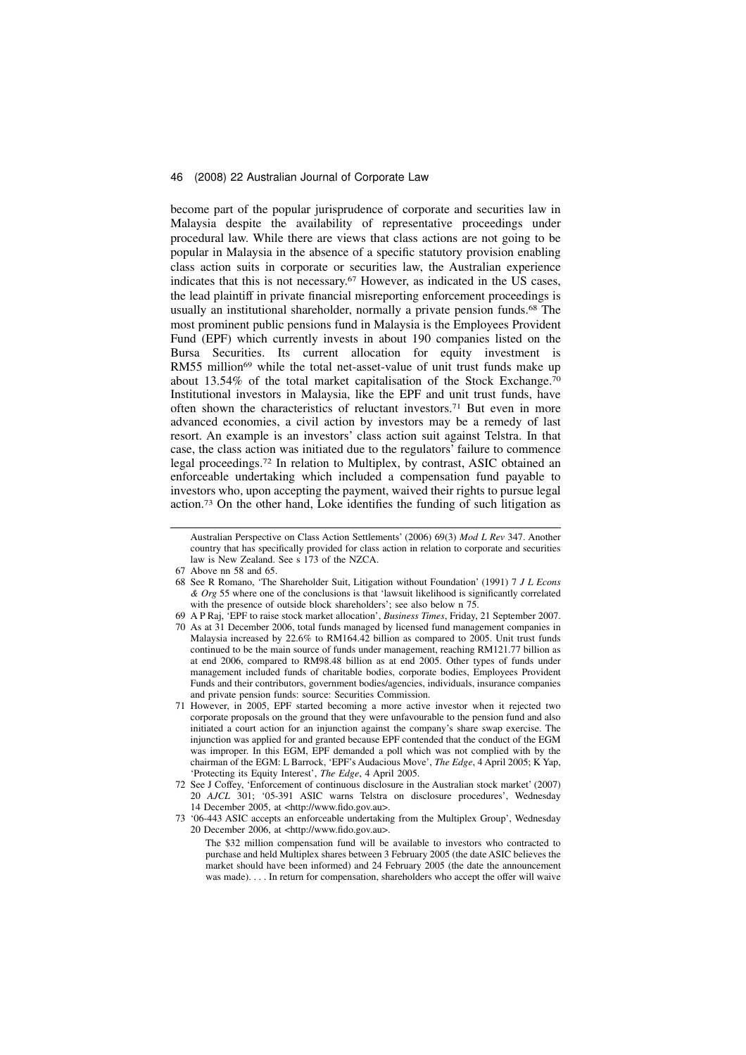become part of the popular jurisprudence of corporate and securities law in Malaysia despite the availability of representative proceedings under procedural law. While there are views that class actions are not going to be popular in Malaysia in the absence of a specific statutory provision enabling class action suits in corporate or securities law, the Australian experience indicates that this is not necessary.<sup>67</sup> However, as indicated in the US cases, the lead plaintiff in private financial misreporting enforcement proceedings is usually an institutional shareholder, normally a private pension funds.<sup>68</sup> The most prominent public pensions fund in Malaysia is the Employees Provident Fund (EPF) which currently invests in about 190 companies listed on the Bursa Securities. Its current allocation for equity investment is RM55 million<sup>69</sup> while the total net-asset-value of unit trust funds make up about 13.54% of the total market capitalisation of the Stock Exchange.<sup>70</sup> Institutional investors in Malaysia, like the EPF and unit trust funds, have often shown the characteristics of reluctant investors.<sup>71</sup> But even in more advanced economies, a civil action by investors may be a remedy of last resort. An example is an investors' class action suit against Telstra. In that case, the class action was initiated due to the regulators' failure to commence legal proceedings.<sup>72</sup> In relation to Multiplex, by contrast, ASIC obtained an enforceable undertaking which included a compensation fund payable to investors who, upon accepting the payment, waived their rights to pursue legal action.<sup>73</sup> On the other hand, Loke identifies the funding of such litigation as

- 70 As at 31 December 2006, total funds managed by licensed fund management companies in Malaysia increased by 22.6% to RM164.42 billion as compared to 2005. Unit trust funds continued to be the main source of funds under management, reaching RM121.77 billion as at end 2006, compared to RM98.48 billion as at end 2005. Other types of funds under management included funds of charitable bodies, corporate bodies, Employees Provident Funds and their contributors, government bodies/agencies, individuals, insurance companies and private pension funds: source: Securities Commission.
- 71 However, in 2005, EPF started becoming a more active investor when it rejected two corporate proposals on the ground that they were unfavourable to the pension fund and also initiated a court action for an injunction against the company's share swap exercise. The injunction was applied for and granted because EPF contended that the conduct of the EGM was improper. In this EGM, EPF demanded a poll which was not complied with by the chairman of the EGM: L Barrock, 'EPF's Audacious Move', The Edge, 4 April 2005; K Yap, 'Protecting its Equity Interest', The Edge, 4 April 2005.
- 72 See J Coffey, 'Enforcement of continuous disclosure in the Australian stock market' (2007) 20 AJCL 301; '05-391 ASIC warns Telstra on disclosure procedures', Wednesday 14 December 2005, at <http://www.fido.gov.au>.
- 73 '06-443 ASIC accepts an enforceable undertaking from the Multiplex Group', Wednesday 20 December 2006, at <http://www.fido.gov.au>.

The \$32 million compensation fund will be available to investors who contracted to purchase and held Multiplex shares between 3 February 2005 (the date ASIC believes the market should have been informed) and 24 February 2005 (the date the announcement was made). . . . In return for compensation, shareholders who accept the offer will waive

Australian Perspective on Class Action Settlements' (2006) 69(3) Mod L Rev 347. Another country that has specifically provided for class action in relation to corporate and securities law is New Zealand. See s 173 of the NZCA.

<sup>67</sup> Above nn 58 and 65.

<sup>68</sup> See R Romano, 'The Shareholder Suit, Litigation without Foundation' (1991) 7 J L Econs & Org 55 where one of the conclusions is that 'lawsuit likelihood is significantly correlated with the presence of outside block shareholders'; see also below n 75.

<sup>69</sup> A P Raj, 'EPF to raise stock market allocation', Business Times, Friday, 21 September 2007.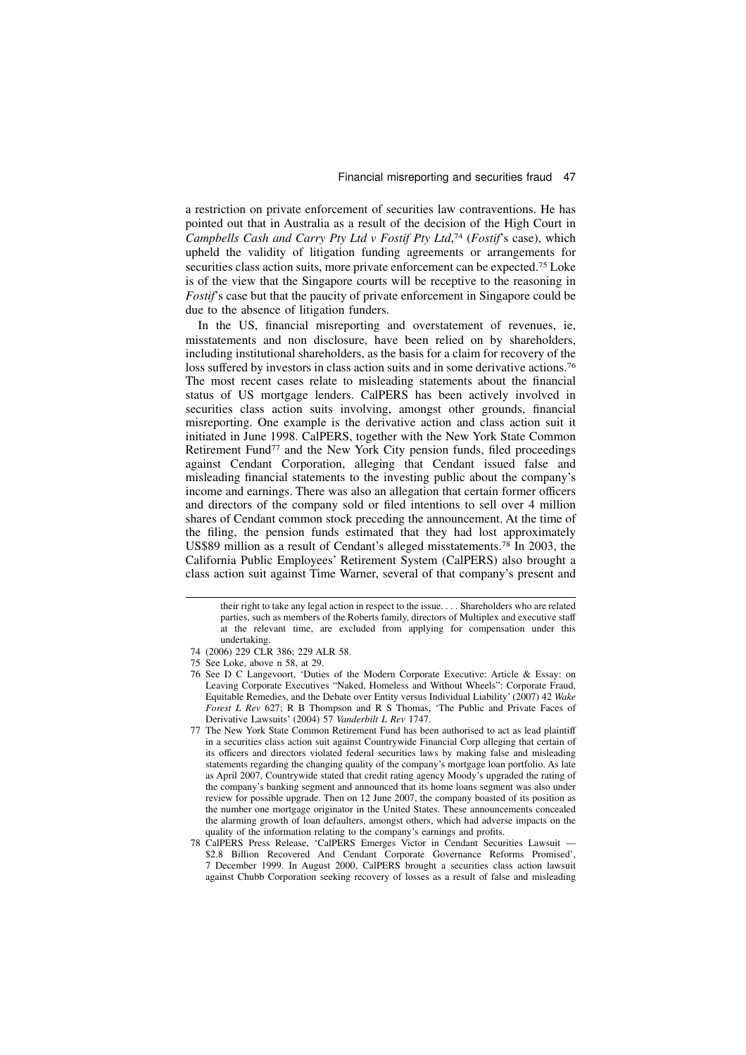a restriction on private enforcement of securities law contraventions. He has pointed out that in Australia as a result of the decision of the High Court in Campbells Cash and Carry Pty Ltd v Fostif Pty Ltd,<sup>74</sup> (Fostif's case), which upheld the validity of litigation funding agreements or arrangements for securities class action suits, more private enforcement can be expected.<sup>75</sup> Loke is of the view that the Singapore courts will be receptive to the reasoning in Fostif's case but that the paucity of private enforcement in Singapore could be due to the absence of litigation funders.

In the US, financial misreporting and overstatement of revenues, ie, misstatements and non disclosure, have been relied on by shareholders, including institutional shareholders, as the basis for a claim for recovery of the loss suffered by investors in class action suits and in some derivative actions.<sup>76</sup> The most recent cases relate to misleading statements about the financial status of US mortgage lenders. CalPERS has been actively involved in securities class action suits involving, amongst other grounds, financial misreporting. One example is the derivative action and class action suit it initiated in June 1998. CalPERS, together with the New York State Common Retirement Fund<sup>77</sup> and the New York City pension funds, filed proceedings against Cendant Corporation, alleging that Cendant issued false and misleading financial statements to the investing public about the company's income and earnings. There was also an allegation that certain former officers and directors of the company sold or filed intentions to sell over 4 million shares of Cendant common stock preceding the announcement. At the time of the filing, the pension funds estimated that they had lost approximately US\$89 million as a result of Cendant's alleged misstatements.<sup>78</sup> In 2003, the California Public Employees' Retirement System (CalPERS) also brought a class action suit against Time Warner, several of that company's present and

their right to take any legal action in respect to the issue. . . . Shareholders who are related parties, such as members of the Roberts family, directors of Multiplex and executive staff at the relevant time, are excluded from applying for compensation under this undertaking.

<sup>74 (2006) 229</sup> CLR 386; 229 ALR 58.

<sup>75</sup> See Loke, above n 58, at 29.

<sup>76</sup> See D C Langevoort, 'Duties of the Modern Corporate Executive: Article & Essay: on Leaving Corporate Executives "Naked, Homeless and Without Wheels": Corporate Fraud, Equitable Remedies, and the Debate over Entity versus Individual Liability' (2007) 42 Wake Forest L Rev 627; R B Thompson and R S Thomas, 'The Public and Private Faces of Derivative Lawsuits' (2004) 57 Vanderbilt L Rev 1747.

<sup>77</sup> The New York State Common Retirement Fund has been authorised to act as lead plaintiff in a securities class action suit against Countrywide Financial Corp alleging that certain of its officers and directors violated federal securities laws by making false and misleading statements regarding the changing quality of the company's mortgage loan portfolio. As late as April 2007, Countrywide stated that credit rating agency Moody's upgraded the rating of the company's banking segment and announced that its home loans segment was also under review for possible upgrade. Then on 12 June 2007, the company boasted of its position as the number one mortgage originator in the United States. These announcements concealed the alarming growth of loan defaulters, amongst others, which had adverse impacts on the quality of the information relating to the company's earnings and profits.

<sup>78</sup> CalPERS Press Release, 'CalPERS Emerges Victor in Cendant Securities Lawsuit — \$2.8 Billion Recovered And Cendant Corporate Governance Reforms Promised', 7 December 1999. In August 2000, CalPERS brought a securities class action lawsuit against Chubb Corporation seeking recovery of losses as a result of false and misleading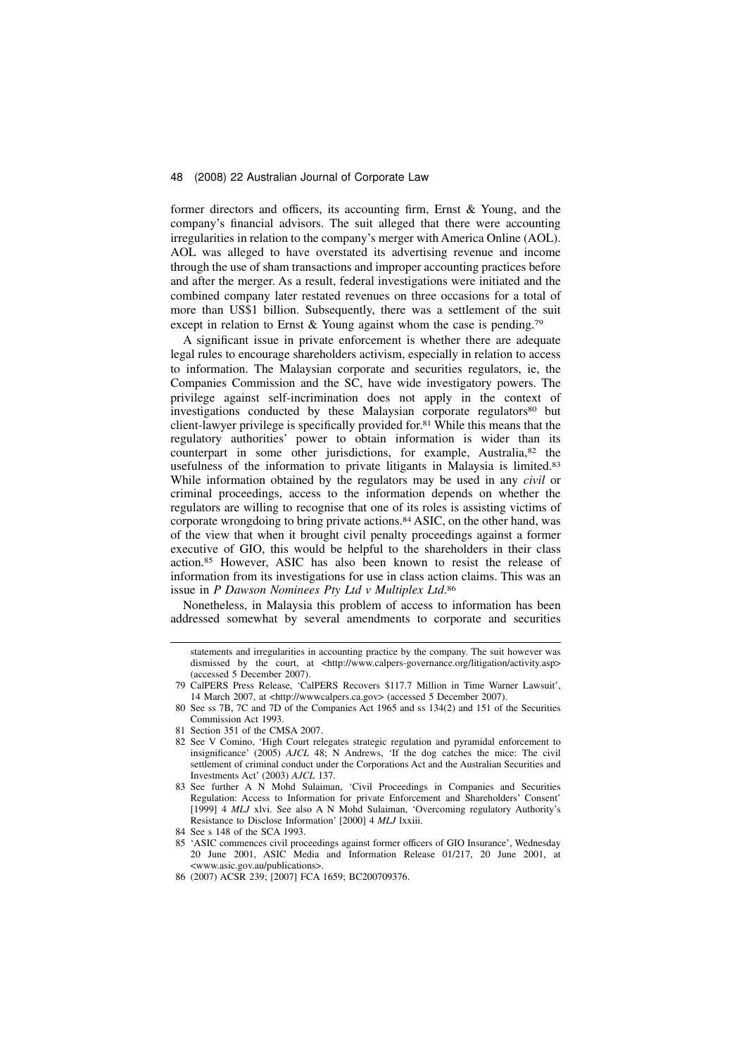former directors and officers, its accounting firm, Ernst & Young, and the company's financial advisors. The suit alleged that there were accounting irregularities in relation to the company's merger with America Online (AOL). AOL was alleged to have overstated its advertising revenue and income through the use of sham transactions and improper accounting practices before and after the merger. As a result, federal investigations were initiated and the combined company later restated revenues on three occasions for a total of more than US\$1 billion. Subsequently, there was a settlement of the suit except in relation to Ernst & Young against whom the case is pending.<sup>79</sup>

A significant issue in private enforcement is whether there are adequate legal rules to encourage shareholders activism, especially in relation to access to information. The Malaysian corporate and securities regulators, ie, the Companies Commission and the SC, have wide investigatory powers. The privilege against self-incrimination does not apply in the context of investigations conducted by these Malaysian corporate regulators<sup>80</sup> but client-lawyer privilege is specifically provided for.<sup>81</sup> While this means that the regulatory authorities' power to obtain information is wider than its counterpart in some other jurisdictions, for example, Australia,<sup>82</sup> the usefulness of the information to private litigants in Malaysia is limited.<sup>83</sup> While information obtained by the regulators may be used in any *civil* or criminal proceedings, access to the information depends on whether the regulators are willing to recognise that one of its roles is assisting victims of corporate wrongdoing to bring private actions.<sup>84</sup> ASIC, on the other hand, was of the view that when it brought civil penalty proceedings against a former executive of GIO, this would be helpful to the shareholders in their class action.<sup>85</sup> However, ASIC has also been known to resist the release of information from its investigations for use in class action claims. This was an issue in P Dawson Nominees Pty Ltd v Multiplex Ltd.<sup>86</sup>

Nonetheless, in Malaysia this problem of access to information has been addressed somewhat by several amendments to corporate and securities

- 81 Section 351 of the CMSA 2007.
- 82 See V Comino, 'High Court relegates strategic regulation and pyramidal enforcement to insignificance' (2005) AJCL 48; N Andrews, 'If the dog catches the mice: The civil settlement of criminal conduct under the Corporations Act and the Australian Securities and Investments Act' (2003) AJCL 137.
- 83 See further A N Mohd Sulaiman, 'Civil Proceedings in Companies and Securities Regulation: Access to Information for private Enforcement and Shareholders' Consent' [1999] 4 MLJ xlvi. See also A N Mohd Sulaiman, 'Overcoming regulatory Authority's Resistance to Disclose Information' [2000] 4 MLJ lxxiii.

statements and irregularities in accounting practice by the company. The suit however was dismissed by the court, at <http://www.calpers-governance.org/litigation/activity.asp> (accessed 5 December 2007).

<sup>79</sup> CalPERS Press Release, 'CalPERS Recovers \$117.7 Million in Time Warner Lawsuit', 14 March 2007, at <http://wwwcalpers.ca.gov> (accessed 5 December 2007).

<sup>80</sup> See ss 7B, 7C and 7D of the Companies Act 1965 and ss 134(2) and 151 of the Securities Commission Act 1993.

<sup>84</sup> See s 148 of the SCA 1993.

<sup>85 &#</sup>x27;ASIC commences civil proceedings against former officers of GIO Insurance', Wednesday 20 June 2001, ASIC Media and Information Release 01/217, 20 June 2001, at <www.asic.gov.au/publications>.

<sup>86 (2007)</sup> ACSR 239; [2007] FCA 1659; BC200709376.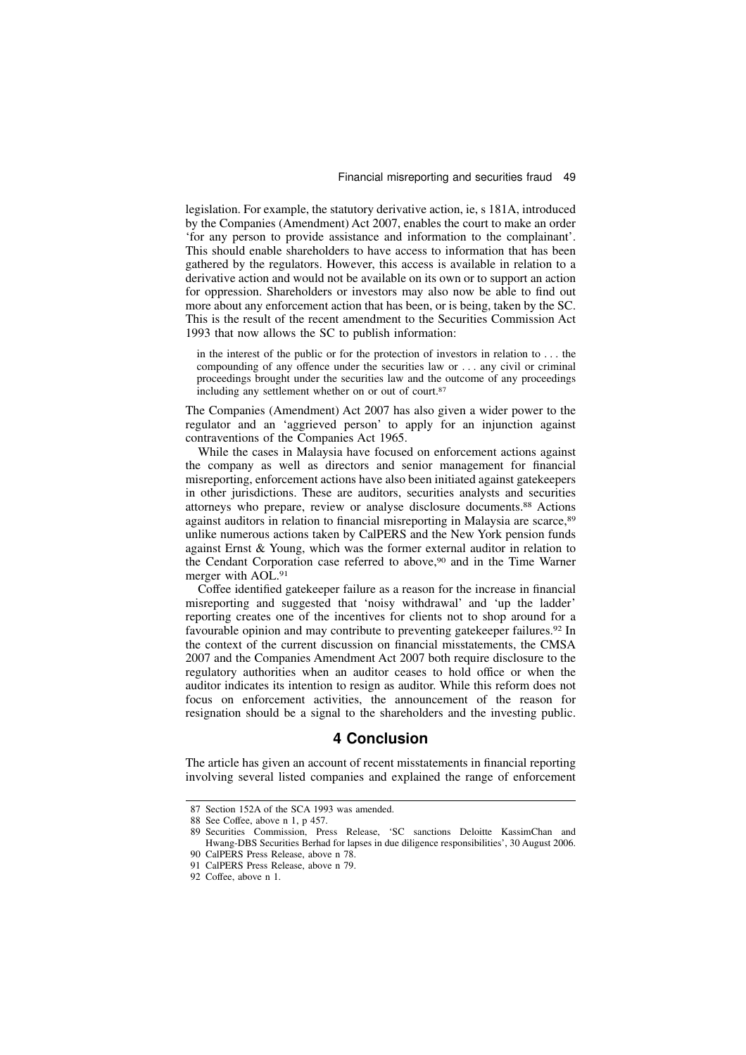legislation. For example, the statutory derivative action, ie, s 181A, introduced by the Companies (Amendment) Act 2007, enables the court to make an order 'for any person to provide assistance and information to the complainant'. This should enable shareholders to have access to information that has been gathered by the regulators. However, this access is available in relation to a derivative action and would not be available on its own or to support an action for oppression. Shareholders or investors may also now be able to find out more about any enforcement action that has been, or is being, taken by the SC. This is the result of the recent amendment to the Securities Commission Act 1993 that now allows the SC to publish information:

in the interest of the public or for the protection of investors in relation to . . . the compounding of any offence under the securities law or . . . any civil or criminal proceedings brought under the securities law and the outcome of any proceedings including any settlement whether on or out of court.<sup>87</sup>

The Companies (Amendment) Act 2007 has also given a wider power to the regulator and an 'aggrieved person' to apply for an injunction against contraventions of the Companies Act 1965.

While the cases in Malaysia have focused on enforcement actions against the company as well as directors and senior management for financial misreporting, enforcement actions have also been initiated against gatekeepers in other jurisdictions. These are auditors, securities analysts and securities attorneys who prepare, review or analyse disclosure documents.<sup>88</sup> Actions against auditors in relation to financial misreporting in Malaysia are scarce, <sup>89</sup> unlike numerous actions taken by CalPERS and the New York pension funds against Ernst & Young, which was the former external auditor in relation to the Cendant Corporation case referred to above,<sup>90</sup> and in the Time Warner merger with AOL.<sup>91</sup>

Coffee identified gatekeeper failure as a reason for the increase in financial misreporting and suggested that 'noisy withdrawal' and 'up the ladder' reporting creates one of the incentives for clients not to shop around for a favourable opinion and may contribute to preventing gatekeeper failures.<sup>92</sup> In the context of the current discussion on financial misstatements, the CMSA 2007 and the Companies Amendment Act 2007 both require disclosure to the regulatory authorities when an auditor ceases to hold office or when the auditor indicates its intention to resign as auditor. While this reform does not focus on enforcement activities, the announcement of the reason for resignation should be a signal to the shareholders and the investing public.

### 4 Conclusion

The article has given an account of recent misstatements in financial reporting involving several listed companies and explained the range of enforcement

<sup>87</sup> Section 152A of the SCA 1993 was amended.

<sup>88</sup> See Coffee, above n 1, p 457.

<sup>89</sup> Securities Commission, Press Release, 'SC sanctions Deloitte KassimChan and Hwang-DBS Securities Berhad for lapses in due diligence responsibilities', 30 August 2006. 90 CalPERS Press Release, above n 78.

<sup>91</sup> CalPERS Press Release, above n 79.

<sup>92</sup> Coffee, above n 1.